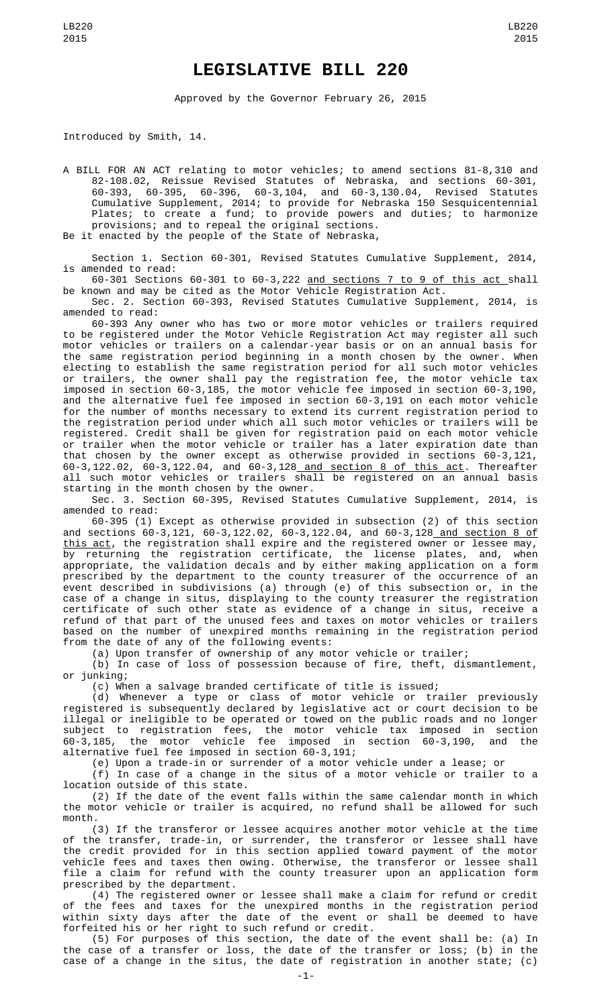## **LEGISLATIVE BILL 220**

Approved by the Governor February 26, 2015

Introduced by Smith, 14.

A BILL FOR AN ACT relating to motor vehicles; to amend sections 81-8,310 and 82-108.02, Reissue Revised Statutes of Nebraska, and sections 60-301, 60-393, 60-395, 60-396, 60-3,104, and 60-3,130.04, Revised Statutes Cumulative Supplement, 2014; to provide for Nebraska 150 Sesquicentennial Plates; to create a fund; to provide powers and duties; to harmonize provisions; and to repeal the original sections. Be it enacted by the people of the State of Nebraska,

Section 1. Section 60-301, Revised Statutes Cumulative Supplement, 2014, is amended to read:

60-301 Sections 60-301 to 60-3,222 and sections 7 to 9 of this act shall be known and may be cited as the Motor Vehicle Registration Act.

Sec. 2. Section 60-393, Revised Statutes Cumulative Supplement, 2014, is amended to read:

60-393 Any owner who has two or more motor vehicles or trailers required to be registered under the Motor Vehicle Registration Act may register all such motor vehicles or trailers on a calendar-year basis or on an annual basis for the same registration period beginning in a month chosen by the owner. When electing to establish the same registration period for all such motor vehicles or trailers, the owner shall pay the registration fee, the motor vehicle tax imposed in section 60-3,185, the motor vehicle fee imposed in section 60-3,190, and the alternative fuel fee imposed in section 60-3,191 on each motor vehicle for the number of months necessary to extend its current registration period to the registration period under which all such motor vehicles or trailers will be registered. Credit shall be given for registration paid on each motor vehicle or trailer when the motor vehicle or trailer has a later expiration date than that chosen by the owner except as otherwise provided in sections 60-3,121, 60-3,122.02, 60-3,122.04, and 60-3,128 and section 8 of this act. Thereafter all such motor vehicles or trailers shall be registered on an annual basis starting in the month chosen by the owner.

Sec. 3. Section 60-395, Revised Statutes Cumulative Supplement, 2014, is amended to read:

60-395 (1) Except as otherwise provided in subsection (2) of this section and sections 60-3,121, 60-3,122.02, 60-3,122.04, and 60-3,128 and section 8 of this act, the registration shall expire and the registered owner or lessee may, by returning the registration certificate, the license plates, and, when appropriate, the validation decals and by either making application on a form prescribed by the department to the county treasurer of the occurrence of an event described in subdivisions (a) through (e) of this subsection or, in the case of a change in situs, displaying to the county treasurer the registration certificate of such other state as evidence of a change in situs, receive a refund of that part of the unused fees and taxes on motor vehicles or trailers based on the number of unexpired months remaining in the registration period from the date of any of the following events:

(a) Upon transfer of ownership of any motor vehicle or trailer;

(b) In case of loss of possession because of fire, theft, dismantlement,

or junking;

(c) When a salvage branded certificate of title is issued;

(d) Whenever a type or class of motor vehicle or trailer previously registered is subsequently declared by legislative act or court decision to be illegal or ineligible to be operated or towed on the public roads and no longer subject to registration fees, the motor vehicle tax imposed in section 60-3,185, the motor vehicle fee imposed in section 60-3,190, and the alternative fuel fee imposed in section 60-3,191;

(e) Upon a trade-in or surrender of a motor vehicle under a lease; or

(f) In case of a change in the situs of a motor vehicle or trailer to a location outside of this state.

(2) If the date of the event falls within the same calendar month in which the motor vehicle or trailer is acquired, no refund shall be allowed for such month.

(3) If the transferor or lessee acquires another motor vehicle at the time of the transfer, trade-in, or surrender, the transferor or lessee shall have the credit provided for in this section applied toward payment of the motor vehicle fees and taxes then owing. Otherwise, the transferor or lessee shall file a claim for refund with the county treasurer upon an application form prescribed by the department.

(4) The registered owner or lessee shall make a claim for refund or credit of the fees and taxes for the unexpired months in the registration period within sixty days after the date of the event or shall be deemed to have forfeited his or her right to such refund or credit.

(5) For purposes of this section, the date of the event shall be: (a) In the case of a transfer or loss, the date of the transfer or loss; (b) in the case of a change in the situs, the date of registration in another state; (c)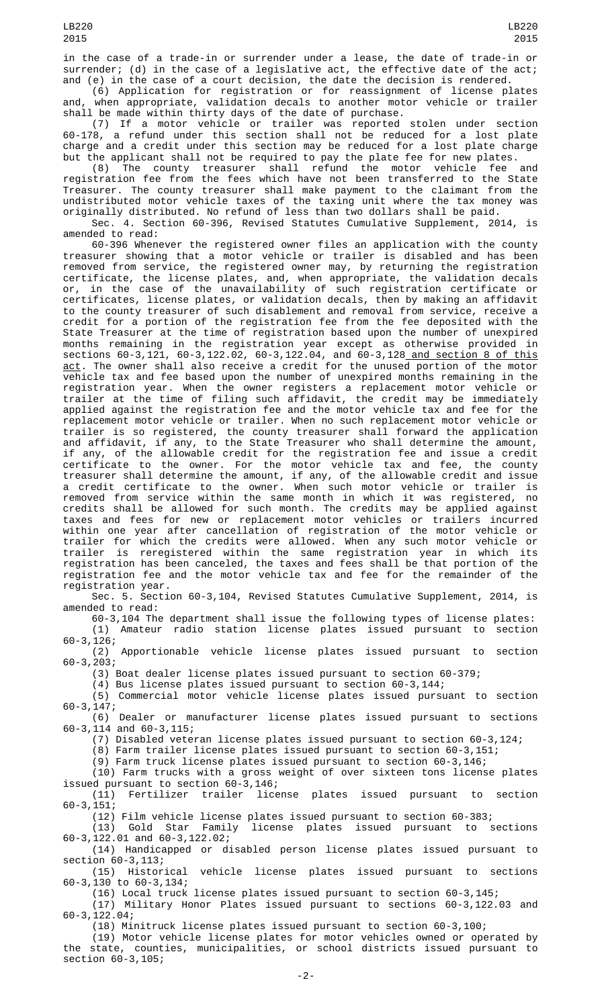in the case of a trade-in or surrender under a lease, the date of trade-in or surrender; (d) in the case of a legislative act, the effective date of the act; and (e) in the case of a court decision, the date the decision is rendered.

(6) Application for registration or for reassignment of license plates and, when appropriate, validation decals to another motor vehicle or trailer shall be made within thirty days of the date of purchase.

(7) If a motor vehicle or trailer was reported stolen under section 60-178, a refund under this section shall not be reduced for a lost plate charge and a credit under this section may be reduced for a lost plate charge but the applicant shall not be required to pay the plate fee for new plates.

(8) The county treasurer shall refund the motor vehicle fee and registration fee from the fees which have not been transferred to the State Treasurer. The county treasurer shall make payment to the claimant from the undistributed motor vehicle taxes of the taxing unit where the tax money was originally distributed. No refund of less than two dollars shall be paid.

Sec. 4. Section 60-396, Revised Statutes Cumulative Supplement, 2014, is amended to read:

60-396 Whenever the registered owner files an application with the county treasurer showing that a motor vehicle or trailer is disabled and has been removed from service, the registered owner may, by returning the registration certificate, the license plates, and, when appropriate, the validation decals or, in the case of the unavailability of such registration certificate or certificates, license plates, or validation decals, then by making an affidavit to the county treasurer of such disablement and removal from service, receive a credit for a portion of the registration fee from the fee deposited with the State Treasurer at the time of registration based upon the number of unexpired months remaining in the registration year except as otherwise provided in sections 60-3,121, 60-3,122.02, 60-3,122.04, and 60-3,128 and section 8 of this <u>act</u>. The owner shall also receive a credit for the unused portion of the motor vehicle tax and fee based upon the number of unexpired months remaining in the registration year. When the owner registers a replacement motor vehicle or trailer at the time of filing such affidavit, the credit may be immediately applied against the registration fee and the motor vehicle tax and fee for the replacement motor vehicle or trailer. When no such replacement motor vehicle or trailer is so registered, the county treasurer shall forward the application and affidavit, if any, to the State Treasurer who shall determine the amount, if any, of the allowable credit for the registration fee and issue a credit certificate to the owner. For the motor vehicle tax and fee, the county treasurer shall determine the amount, if any, of the allowable credit and issue a credit certificate to the owner. When such motor vehicle or trailer is removed from service within the same month in which it was registered, no credits shall be allowed for such month. The credits may be applied against taxes and fees for new or replacement motor vehicles or trailers incurred within one year after cancellation of registration of the motor vehicle or trailer for which the credits were allowed. When any such motor vehicle or trailer is reregistered within the same registration year in which its registration has been canceled, the taxes and fees shall be that portion of the registration fee and the motor vehicle tax and fee for the remainder of the registration year.

Sec. 5. Section 60-3,104, Revised Statutes Cumulative Supplement, 2014, is amended to read:

60-3,104 The department shall issue the following types of license plates:

(1) Amateur radio station license plates issued pursuant to section  $60-3, 126;$ <br>(2)

Apportionable vehicle license plates issued pursuant to section 60-3,203;

(3) Boat dealer license plates issued pursuant to section 60-379;

(4) Bus license plates issued pursuant to section 60-3,144;

(5) Commercial motor vehicle license plates issued pursuant to section 60-3,147;

(6) Dealer or manufacturer license plates issued pursuant to sections 60-3,114 and 60-3,115;

(7) Disabled veteran license plates issued pursuant to section 60-3,124;

(8) Farm trailer license plates issued pursuant to section 60-3,151;

(9) Farm truck license plates issued pursuant to section 60-3,146;

(10) Farm trucks with a gross weight of over sixteen tons license plates issued pursuant to section 60-3,146;

(11) Fertilizer trailer license plates issued pursuant to section  $60 - 3, 151;$ 

(12) Film vehicle license plates issued pursuant to section 60-383; license plates issued pursuant to sections

 $(13)$  Gold Star Family<br>60-3,122.01 and 60-3,122.02;

(14) Handicapped or disabled person license plates issued pursuant to section 60-3,113;

(15) Historical vehicle license plates issued pursuant to sections 60-3,130 to 60-3,134;

(16) Local truck license plates issued pursuant to section 60-3,145;

(17) Military Honor Plates issued pursuant to sections 60-3,122.03 and 60-3,122.04;

(18) Minitruck license plates issued pursuant to section 60-3,100;

(19) Motor vehicle license plates for motor vehicles owned or operated by the state, counties, municipalities, or school districts issued pursuant to section 60-3,105;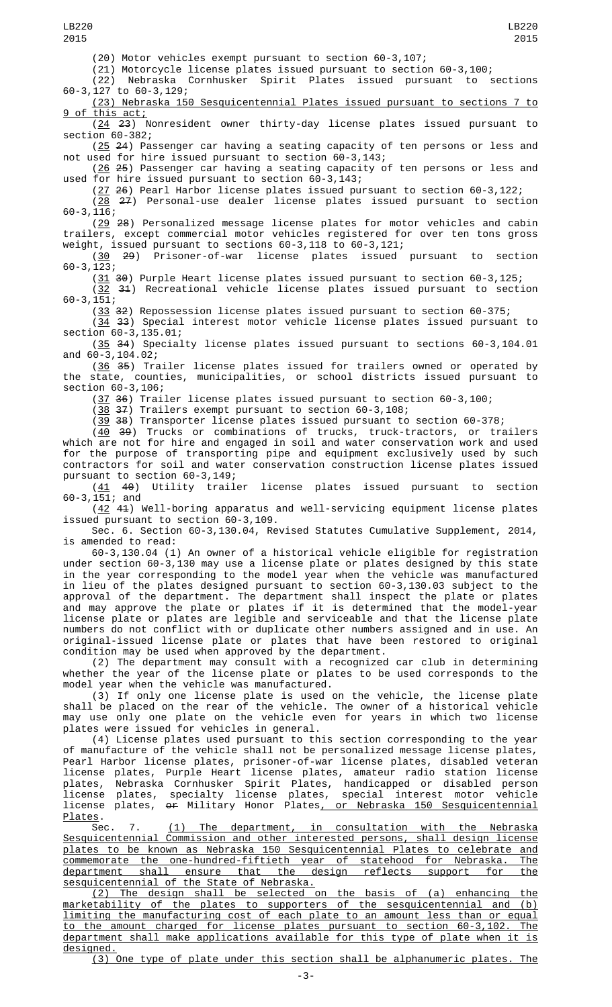LB220 2015

(20) Motor vehicles exempt pursuant to section 60-3,107;

(21) Motorcycle license plates issued pursuant to section 60-3,100; Nebraska Cornhusker Spirit Plates issued pursuant to 60-3,127 to 60-3,129;

(23) Nebraska 150 Sesquicentennial Plates issued pursuant to sections 7 to 9 of this act;

(24 23) Nonresident owner thirty-day license plates issued pursuant to section 60-382;

(25 24) Passenger car having a seating capacity of ten persons or less and not used for hire issued pursuant to section 60-3,143;

(26 <del>25</del>) Passenger car having a seating capacity of ten persons or less and used for hire issued pursuant to section 60-3,143;

(27 26) Pearl Harbor license plates issued pursuant to section 60-3,122;

(28 27) Personal-use dealer license plates issued pursuant to section 60-3,116;

(29 28) Personalized message license plates for motor vehicles and cabin trailers, except commercial motor vehicles registered for over ten tons gross weight, issued pursuant to sections 60-3,118 to 60-3,121;

(30 29) Prisoner-of-war license plates issued pursuant to section 60-3,123;

(31 30) Purple Heart license plates issued pursuant to section 60-3,125;  $(32 \t31)$  Recreational vehicle license plates issued pursuant to section 60-3,151;

 $(33)$  32) Repossession license plates issued pursuant to section 60-375;

(34 33) Special interest motor vehicle license plates issued pursuant to section 60-3,135.01;

(35 34) Specialty license plates issued pursuant to sections 60-3,104.01 and 60-3,104.02;

(<u>36</u> <del>35</del>) Trailer license plates issued for trailers owned or operated by the state, counties, municipalities, or school districts issued pursuant to section 60-3,106;

(37 36) Trailer license plates issued pursuant to section 60-3,100;

(38 37) Trailers exempt pursuant to section 60-3,108;

(39 38) Transporter license plates issued pursuant to section 60-378;

(<u>40</u> <del>39</del>) Trucks or combinations of trucks, truck-tractors, or trailers which are not for hire and engaged in soil and water conservation work and used for the purpose of transporting pipe and equipment exclusively used by such contractors for soil and water conservation construction license plates issued pursuant to section 60-3,149;

(41 40) Utility trailer license plates issued pursuant to section 60-3,151; and

(42 41) Well-boring apparatus and well-servicing equipment license plates issued pursuant to section 60-3,109.

Sec. 6. Section 60-3,130.04, Revised Statutes Cumulative Supplement, 2014, is amended to read:

60-3,130.04 (1) An owner of a historical vehicle eligible for registration under section 60-3,130 may use a license plate or plates designed by this state in the year corresponding to the model year when the vehicle was manufactured in lieu of the plates designed pursuant to section 60-3,130.03 subject to the approval of the department. The department shall inspect the plate or plates and may approve the plate or plates if it is determined that the model-year license plate or plates are legible and serviceable and that the license plate numbers do not conflict with or duplicate other numbers assigned and in use. An original-issued license plate or plates that have been restored to original condition may be used when approved by the department.

(2) The department may consult with a recognized car club in determining whether the year of the license plate or plates to be used corresponds to the model year when the vehicle was manufactured.

(3) If only one license plate is used on the vehicle, the license plate shall be placed on the rear of the vehicle. The owner of a historical vehicle may use only one plate on the vehicle even for years in which two license plates were issued for vehicles in general.

(4) License plates used pursuant to this section corresponding to the year of manufacture of the vehicle shall not be personalized message license plates, Pearl Harbor license plates, prisoner-of-war license plates, disabled veteran license plates, Purple Heart license plates, amateur radio station license plates, Nebraska Cornhusker Spirit Plates, handicapped or disabled person license plates, specialty license plates, special interest motor vehicle license plates, or Military Honor Plates, or Nebraska 150 Sesquicentennial Plates.

Sec. 7. <u>(1) The department, in consultation with the Nebraska</u> Sesquicentennial Commission and other interested persons, shall design license plates to be known as Nebraska 150 Sesquicentennial Plates to celebrate and commemorate the one-hundred-fiftieth year of statehood for Nebraska. The department shall ensure that the design reflects support for the sesquicentennial of the State of Nebraska.

(2) The design shall be selected on the basis of (a) enhancing the marketability of the plates to supporters of the sesquicentennial and (b) limiting the manufacturing cost of each plate to an amount less than or equal to the amount charged for license plates pursuant to section 60-3,102. The department shall make applications available for this type of plate when it is designed.

(3) One type of plate under this section shall be alphanumeric plates. The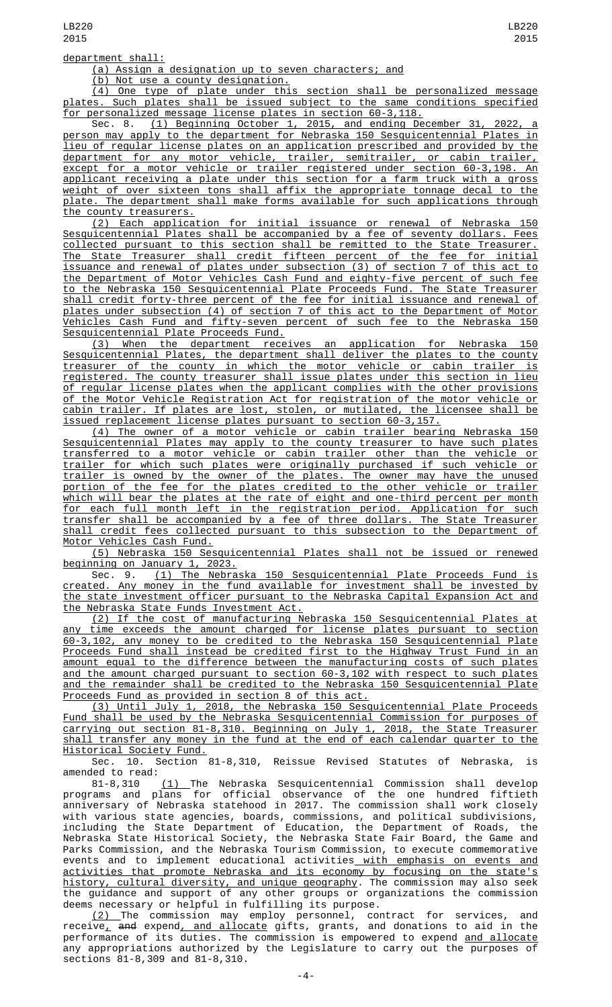department shall:

(a) Assign a designation up to seven characters; and

(b) Not use a county designation.

(4) One type of plate under this section shall be personalized message plates. Such plates shall be issued subject to the same conditions specified for personalized message license plates in section 60-3,118.

Sec. 8. (1) Beginning October 1, 2015, and ending December 31, 2022, a person may apply to the department for Nebraska 150 Sesquicentennial Plates in lieu of regular license plates on an application prescribed and provided by the department for any motor vehicle, trailer, semitrailer, or cabin trailer, except for a motor vehicle or trailer registered under section 60-3,198. An applicant receiving a plate under this section for a farm truck with a gross weight of over sixteen tons shall affix the appropriate tonnage decal to the plate. The department shall make forms available for such applications through the county treasurers.

(2) Each application for initial issuance or renewal of Nebraska 150 Sesquicentennial Plates shall be accompanied by a fee of seventy dollars. Fees collected pursuant to this section shall be remitted to the State Treasurer. The State Treasurer shall credit fifteen percent of the fee for initial issuance and renewal of plates under subsection (3) of section 7 of this act to the Department of Motor Vehicles Cash Fund and eighty-five percent of such fee to the Nebraska 150 Sesquicentennial Plate Proceeds Fund. The State Treasurer shall credit forty-three percent of the fee for initial issuance and renewal of plates under subsection (4) of section 7 of this act to the Department of Motor Vehicles Cash Fund and fifty-seven percent of such fee to the Nebraska 150 Sesquicentennial Plate Proceeds Fund.

(3) When the department receives an application for Nebraska 150 Sesquicentennial Plates, the department shall deliver the plates to the county treasurer of the county in which the motor vehicle or cabin trailer is registered. The county treasurer shall issue plates under this section in lieu of regular license plates when the applicant complies with the other provisions of the Motor Vehicle Registration Act for registration of the motor vehicle or<br>cabin trailer, If plates are lost, stolen, or mutilated, the licensee shall be cabin trailer. If plates are lost, stolen, or mutilated, the licensee shall be issued replacement license plates pursuant to section 60-3,157.

(4) The owner of a motor vehicle or cabin trailer bearing Nebraska 150 Sesquicentennial Plates may apply to the county treasurer to have such plates transferred to a motor vehicle or cabin trailer other than the vehicle or trailer for which such plates were originally purchased if such vehicle or trailer is owned by the owner of the plates. The owner may have the unused portion of the fee for the plates credited to the other vehicle or trailer which will bear the plates at the rate of eight and one-third percent per month for each full month left in the registration period. Application for such transfer shall be accompanied by a fee of three dollars. The State Treasurer shall credit fees collected pursuant to this subsection to the Department of Motor Vehicles Cash Fund.

(5) Nebraska 150 Sesquicentennial Plates shall not be issued or renewed beginning on January 1, 2023.

Sec. 9. (1) The Nebraska 150 Sesquicentennial Plate Proceeds Fund is created. Any money in the fund available for investment shall be invested by the state investment officer pursuant to the Nebraska Capital Expansion Act and the Nebraska State Funds Investment Act.

(2) If the cost of manufacturing Nebraska 150 Sesquicentennial Plates at any time exceeds the amount charged for license plates pursuant to section 60-3,102, any money to be credited to the Nebraska 150 Sesquicentennial Plate Proceeds Fund shall instead be credited first to the Highway Trust Fund in an amount equal to the difference between the manufacturing costs of such plates and the amount charged pursuant to section 60-3,102 with respect to such plates and the remainder shall be credited to the Nebraska 150 Sesquicentennial Plate Proceeds Fund as provided in section 8 of this act.

(3) Until July 1, 2018, the Nebraska 150 Sesquicentennial Plate Proceeds Fund shall be used by the Nebraska Sesquicentennial Commission for purposes of carrying out section 81-8,310. Beginning on July 1, 2018, the State Treasurer shall transfer any money in the fund at the end of each calendar quarter to the Historical Society Fund.

Sec. 10. Section 81-8,310, Reissue Revised Statutes of Nebraska, is amended to read:

81-8,310 <u>(1) </u>The Nebraska Sesquicentennial Commission shall develop programs and plans for official observance of the one hundred fiftieth anniversary of Nebraska statehood in 2017. The commission shall work closely with various state agencies, boards, commissions, and political subdivisions, including the State Department of Education, the Department of Roads, the Nebraska State Historical Society, the Nebraska State Fair Board, the Game and Parks Commission, and the Nebraska Tourism Commission, to execute commemorative events and to implement educational activities<u> with emphasis on events and</u> activities that promote Nebraska and its economy by focusing on the state's history, cultural diversity, and unique geography. The commission may also seek the guidance and support of any other groups or organizations the commission deems necessary or helpful in fulfilling its purpose.

<u>(2) </u>The commission may employ personnel, contract for services, and receive<u>,</u> <del>and</del> expend<u>, and allocate</u> gifts, grants, and donations to aid in the performance of its duties. The commission is empowered to expend <u>and allocate</u> any appropriations authorized by the Legislature to carry out the purposes of sections 81-8,309 and 81-8,310.